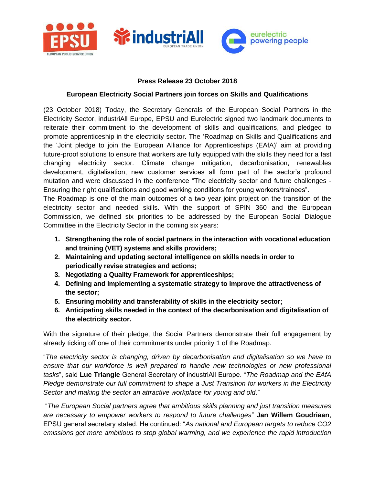

## **Press Release 23 October 2018**

## **European Electricity Social Partners join forces on Skills and Qualifications**

(23 October 2018) Today, the Secretary Generals of the European Social Partners in the Electricity Sector, industriAll Europe, EPSU and Eurelectric signed two landmark documents to reiterate their commitment to the development of skills and qualifications, and pledged to promote apprenticeship in the electricity sector. The 'Roadmap on Skills and Qualifications and the 'Joint pledge to join the European Alliance for Apprenticeships (EAfA)' aim at providing future-proof solutions to ensure that workers are fully equipped with the skills they need for a fast changing electricity sector. Climate change mitigation, decarbonisation, renewables development, digitalisation, new customer services all form part of the sector's profound mutation and were discussed in the conference "The electricity sector and future challenges - Ensuring the right qualifications and good working conditions for young workers/trainees".

The Roadmap is one of the main outcomes of a two year joint project on the transition of the electricity sector and needed skills. With the support of SPIN 360 and the European Commission, we defined six priorities to be addressed by the European Social Dialogue Committee in the Electricity Sector in the coming six years:

- **1. Strengthening the role of social partners in the interaction with vocational education and training (VET) systems and skills providers;**
- **2. Maintaining and updating sectoral intelligence on skills needs in order to periodically revise strategies and actions;**
- **3. Negotiating a Quality Framework for apprenticeships;**
- **4. Defining and implementing a systematic strategy to improve the attractiveness of the sector;**
- **5. Ensuring mobility and transferability of skills in the electricity sector;**
- **6. Anticipating skills needed in the context of the decarbonisation and digitalisation of the electricity sector.**

With the signature of their pledge, the Social Partners demonstrate their full engagement by already ticking off one of their commitments under priority 1 of the Roadmap.

"*The electricity sector is changing, driven by decarbonisation and digitalisation so we have to*  ensure that our workforce is well prepared to handle new technologies or new professional *tasks*", said **Luc Triangle** General Secretary of industriAll Europe. "*The Roadmap and the EAfA Pledge demonstrate our full commitment to shape a Just Transition for workers in the Electricity Sector and making the sector an attractive workplace for young and old*."

"*The European Social partners agree that ambitious skills planning and just transition measures are necessary to empower workers to respond to future challenges*" **Jan Willem Goudriaan**, EPSU general secretary stated. He continued: "*As national and European targets to reduce CO2 emissions get more ambitious to stop global warming, and we experience the rapid introduction*